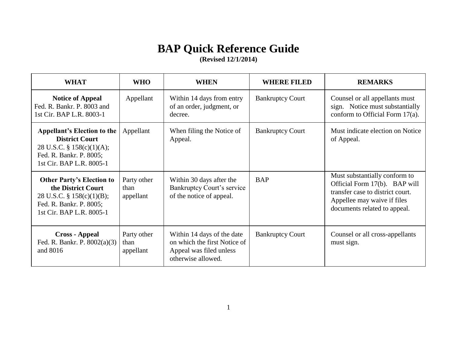## **BAP Quick Reference Guide**

**(Revised 12/1/2014)**

| <b>WHAT</b>                                                                                                                                       | <b>WHO</b>                       | <b>WHEN</b>                                                                                                 | <b>WHERE FILED</b>      | <b>REMARKS</b>                                                                                                                                                    |
|---------------------------------------------------------------------------------------------------------------------------------------------------|----------------------------------|-------------------------------------------------------------------------------------------------------------|-------------------------|-------------------------------------------------------------------------------------------------------------------------------------------------------------------|
| <b>Notice of Appeal</b><br>Fed. R. Bankr. P. 8003 and<br>1st Cir. BAP L.R. 8003-1                                                                 | Appellant                        | Within 14 days from entry<br>of an order, judgment, or<br>decree.                                           | <b>Bankruptcy Court</b> | Counsel or all appellants must<br>sign. Notice must substantially<br>conform to Official Form 17(a).                                                              |
| <b>Appellant's Election to the</b><br><b>District Court</b><br>28 U.S.C. § $158(c)(1)(A);$<br>Fed. R. Bankr. P. 8005;<br>1st Cir. BAP L.R. 8005-1 | Appellant                        | When filing the Notice of<br>Appeal.                                                                        | <b>Bankruptcy Court</b> | Must indicate election on Notice<br>of Appeal.                                                                                                                    |
| <b>Other Party's Election to</b><br>the District Court<br>28 U.S.C. $\S$ 158(c)(1)(B);<br>Fed. R. Bankr. P. 8005;<br>1st Cir. BAP L.R. 8005-1     | Party other<br>than<br>appellant | Within 30 days after the<br><b>Bankruptcy Court's service</b><br>of the notice of appeal.                   | <b>BAP</b>              | Must substantially conform to<br>Official Form 17(b). BAP will<br>transfer case to district court.<br>Appellee may waive if files<br>documents related to appeal. |
| <b>Cross - Appeal</b><br>Fed. R. Bankr. P. 8002(a)(3)<br>and 8016                                                                                 | Party other<br>than<br>appellant | Within 14 days of the date<br>on which the first Notice of<br>Appeal was filed unless<br>otherwise allowed. | <b>Bankruptcy Court</b> | Counsel or all cross-appellants<br>must sign.                                                                                                                     |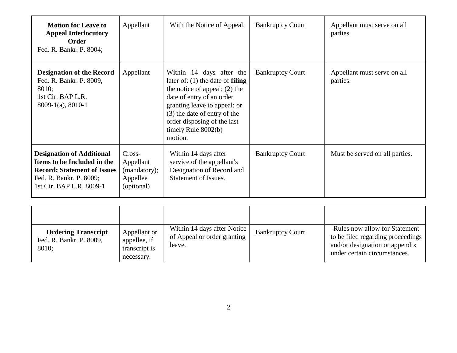| <b>Motion for Leave to</b><br><b>Appeal Interlocutory</b><br><b>Order</b><br>Fed. R. Bankr. P. 8004;                                                         | Appellant                                                     | With the Notice of Appeal.                                                                                                                                                                                                                                        | <b>Bankruptcy Court</b> | Appellant must serve on all<br>parties. |
|--------------------------------------------------------------------------------------------------------------------------------------------------------------|---------------------------------------------------------------|-------------------------------------------------------------------------------------------------------------------------------------------------------------------------------------------------------------------------------------------------------------------|-------------------------|-----------------------------------------|
| <b>Designation of the Record</b><br>Fed. R. Bankr. P. 8009,<br>8010;<br>1st Cir. BAP L.R.<br>$8009-1(a)$ , 8010-1                                            | Appellant                                                     | Within 14 days after the<br>later of: $(1)$ the date of filing<br>the notice of appeal; $(2)$ the<br>date of entry of an order<br>granting leave to appeal; or<br>(3) the date of entry of the<br>order disposing of the last<br>timely Rule $8002(b)$<br>motion. | <b>Bankruptcy Court</b> | Appellant must serve on all<br>parties. |
| <b>Designation of Additional</b><br>Items to be Included in the<br><b>Record; Statement of Issues</b><br>Fed. R. Bankr. P. 8009;<br>1st Cir. BAP L.R. 8009-1 | Cross-<br>Appellant<br>(mandatory);<br>Appellee<br>(optional) | Within 14 days after<br>service of the appellant's<br>Designation of Record and<br>Statement of Issues.                                                                                                                                                           | <b>Bankruptcy Court</b> | Must be served on all parties.          |

| <b>Ordering Transcript</b><br>Fed. R. Bankr. P. 8009,<br>8010; | Appellant or<br>appellee, if<br>transcript is<br>necessary. | Within 14 days after Notice<br>of Appeal or order granting<br>leave. | <b>Bankruptcy Court</b> | Rules now allow for Statement<br>to be filed regarding proceedings<br>and/or designation or appendix<br>under certain circumstances. |
|----------------------------------------------------------------|-------------------------------------------------------------|----------------------------------------------------------------------|-------------------------|--------------------------------------------------------------------------------------------------------------------------------------|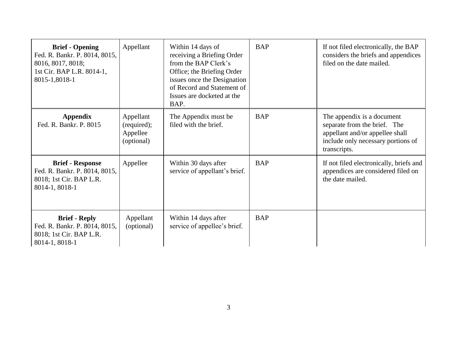| <b>Brief - Opening</b><br>Fed. R. Bankr. P. 8014, 8015,<br>8016, 8017, 8018;<br>1st Cir. BAP L.R. 8014-1,<br>8015-1,8018-1 | Appellant                                          | Within 14 days of<br>receiving a Briefing Order<br>from the BAP Clerk's<br>Office; the Briefing Order<br>issues once the Designation<br>of Record and Statement of<br>Issues are docketed at the<br>BAP. | <b>BAP</b> | If not filed electronically, the BAP<br>considers the briefs and appendices<br>filed on the date mailed.                                            |
|----------------------------------------------------------------------------------------------------------------------------|----------------------------------------------------|----------------------------------------------------------------------------------------------------------------------------------------------------------------------------------------------------------|------------|-----------------------------------------------------------------------------------------------------------------------------------------------------|
| <b>Appendix</b><br>Fed. R. Bankr. P. 8015                                                                                  | Appellant<br>(required);<br>Appellee<br>(optional) | The Appendix must be<br>filed with the brief.                                                                                                                                                            | <b>BAP</b> | The appendix is a document<br>separate from the brief. The<br>appellant and/or appellee shall<br>include only necessary portions of<br>transcripts. |
| <b>Brief - Response</b><br>Fed. R. Bankr. P. 8014, 8015,<br>8018; 1st Cir. BAP L.R.<br>8014-1, 8018-1                      | Appellee                                           | Within 30 days after<br>service of appellant's brief.                                                                                                                                                    | <b>BAP</b> | If not filed electronically, briefs and<br>appendices are considered filed on<br>the date mailed.                                                   |
| <b>Brief - Reply</b><br>Fed. R. Bankr. P. 8014, 8015,<br>8018; 1st Cir. BAP L.R.<br>8014-1, 8018-1                         | Appellant<br>(optional)                            | Within 14 days after<br>service of appellee's brief.                                                                                                                                                     | <b>BAP</b> |                                                                                                                                                     |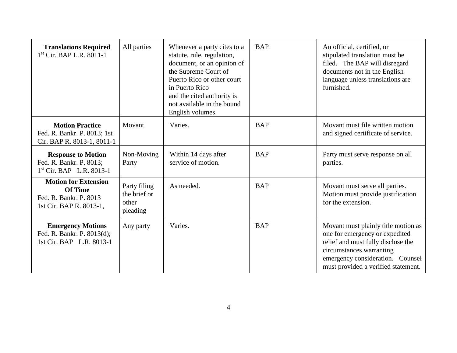| <b>Translations Required</b><br>$1st$ Cir. BAP L.R. 8011-1                                         | All parties                                       | Whenever a party cites to a<br>statute, rule, regulation,<br>document, or an opinion of<br>the Supreme Court of<br>Puerto Rico or other court<br>in Puerto Rico<br>and the cited authority is<br>not available in the bound<br>English volumes. | <b>BAP</b> | An official, certified, or<br>stipulated translation must be<br>filed. The BAP will disregard<br>documents not in the English<br>language unless translations are<br>furnished.                                    |
|----------------------------------------------------------------------------------------------------|---------------------------------------------------|-------------------------------------------------------------------------------------------------------------------------------------------------------------------------------------------------------------------------------------------------|------------|--------------------------------------------------------------------------------------------------------------------------------------------------------------------------------------------------------------------|
| <b>Motion Practice</b><br>Fed. R. Bankr. P. 8013; 1st<br>Cir. BAP R. 8013-1, 8011-1                | Movant                                            | Varies.                                                                                                                                                                                                                                         | <b>BAP</b> | Movant must file written motion<br>and signed certificate of service.                                                                                                                                              |
| <b>Response to Motion</b><br>Fed. R. Bankr. P. 8013;<br>$1st$ Cir. BAP L.R. 8013-1                 | Non-Moving<br>Party                               | Within 14 days after<br>service of motion.                                                                                                                                                                                                      | <b>BAP</b> | Party must serve response on all<br>parties.                                                                                                                                                                       |
| <b>Motion for Extension</b><br><b>Of Time</b><br>Fed. R. Bankr. P. 8013<br>1st Cir. BAP R. 8013-1, | Party filing<br>the brief or<br>other<br>pleading | As needed.                                                                                                                                                                                                                                      | <b>BAP</b> | Movant must serve all parties.<br>Motion must provide justification<br>for the extension.                                                                                                                          |
| <b>Emergency Motions</b><br>Fed. R. Bankr. P. 8013(d);<br>1st Cir. BAP L.R. 8013-1                 | Any party                                         | Varies.                                                                                                                                                                                                                                         | <b>BAP</b> | Movant must plainly title motion as<br>one for emergency or expedited<br>relief and must fully disclose the<br>circumstances warranting<br>emergency consideration. Counsel<br>must provided a verified statement. |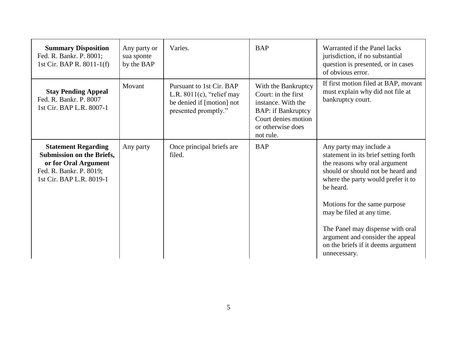| <b>Summary Disposition</b><br>Fed. R. Bankr. P. 8001;<br>1st Cir. BAP R. $8011-1(f)$                                                          | Any party or<br>sua sponte<br>by the BAP | Varies.                                                                                                       | <b>BAP</b>                                                                                                                                             | Warranted if the Panel lacks<br>jurisdiction, if no substantial<br>question is presented, or in cases<br>of obvious error.                                                                                                                                                                                                                                                          |
|-----------------------------------------------------------------------------------------------------------------------------------------------|------------------------------------------|---------------------------------------------------------------------------------------------------------------|--------------------------------------------------------------------------------------------------------------------------------------------------------|-------------------------------------------------------------------------------------------------------------------------------------------------------------------------------------------------------------------------------------------------------------------------------------------------------------------------------------------------------------------------------------|
| <b>Stay Pending Appeal</b><br>Fed. R. Bankr. P. 8007<br>1st Cir. BAP L.R. 8007-1                                                              | Movant                                   | Pursuant to 1st Cir. BAP<br>L.R. $8011(c)$ , "relief may<br>be denied if [motion] not<br>presented promptly." | With the Bankruptcy<br>Court: in the first<br>instance. With the<br><b>BAP:</b> if Bankruptcy<br>Court denies motion<br>or otherwise does<br>not rule. | If first motion filed at BAP, movant<br>must explain why did not file at<br>bankruptcy court.                                                                                                                                                                                                                                                                                       |
| <b>Statement Regarding</b><br><b>Submission on the Briefs,</b><br>or for Oral Argument<br>Fed. R. Bankr. P. 8019;<br>1st Cir. BAP L.R. 8019-1 | Any party                                | Once principal briefs are<br>filed.                                                                           | <b>BAP</b>                                                                                                                                             | Any party may include a<br>statement in its brief setting forth<br>the reasons why oral argument<br>should or should not be heard and<br>where the party would prefer it to<br>be heard.<br>Motions for the same purpose<br>may be filed at any time.<br>The Panel may dispense with oral<br>argument and consider the appeal<br>on the briefs if it deems argument<br>unnecessary. |